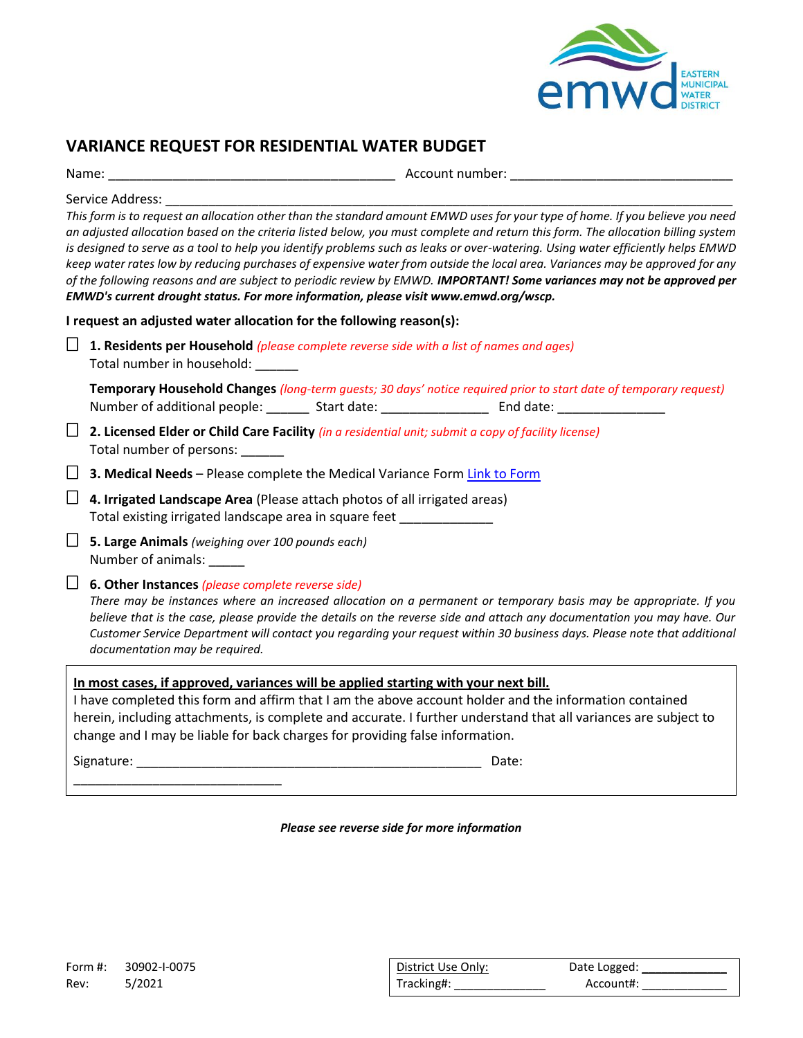

# **VARIANCE REQUEST FOR RESIDENTIAL WATER BUDGET**

| Name: |  |
|-------|--|
|       |  |
|       |  |

Account number:

Service Address:

*This form is to request an allocation other than the standard amount EMWD uses for your type of home. If you believe you need an adjusted allocation based on the criteria listed below, you must complete and return this form. The allocation billing system is designed to serve as a tool to help you identify problems such as leaks or over-watering. Using water efficiently helps EMWD keep water rates low by reducing purchases of expensive water from outside the local area. Variances may be approved for any of the following reasons and are subject to periodic review by EMWD. IMPORTANT! Some variances may not be approved per EMWD's current drought status. For more information, please visit www.emwd.org/wscp.*

**I request an adjusted water allocation for the following reason(s):**

 **1. Residents per Household** *(please complete reverse side with a list of names and ages)* Total number in household: \_\_\_\_\_\_

**Temporary Household Changes** *(long-term guests; 30 days' notice required prior to start date of temporary request)* Number of additional people: \_\_\_\_\_\_\_\_ Start date: \_\_\_\_\_\_\_\_\_\_\_\_\_\_\_\_\_\_\_\_\_\_\_\_\_\_\_\_\_\_\_

 **2. Licensed Elder or Child Care Facility** *(in a residential unit; submit a copy of facility license)* Total number of persons:

□ 3. Medical Needs – Please complete the Medical Variance Form [Link to Form](https://www.emwd.org/sites/main/files/file-attachments/medicalvarianceformfillabl.pdf?1545937840)

 **4. Irrigated Landscape Area** (Please attach photos of all irrigated areas) Total existing irrigated landscape area in square feet \_\_\_\_\_\_\_\_\_\_\_\_\_

 **5. Large Animals** *(weighing over 100 pounds each)* Number of animals: \_\_\_\_\_

## **6. Other Instances** *(please complete reverse side)*

\_\_\_\_\_\_\_\_\_\_\_\_\_\_\_\_\_\_\_\_\_\_\_\_\_\_\_\_\_

*There may be instances where an increased allocation on a permanent or temporary basis may be appropriate. If you believe that is the case, please provide the details on the reverse side and attach any documentation you may have. Our Customer Service Department will contact you regarding your request within 30 business days. Please note that additional documentation may be required.*

#### **In most cases, if approved, variances will be applied starting with your next bill.**

I have completed this form and affirm that I am the above account holder and the information contained herein, including attachments, is complete and accurate. I further understand that all variances are subject to change and I may be liable for back charges for providing false information.

Signature: \_\_\_\_\_\_\_\_\_\_\_\_\_\_\_\_\_\_\_\_\_\_\_\_\_\_\_\_\_\_\_\_\_\_\_\_\_\_\_\_\_\_\_\_\_\_\_\_ Date:

*Please see reverse side for more information*

| Form #: | 30902-1-0075 | District Use Only: | Date Logged: |
|---------|--------------|--------------------|--------------|
| Rev:    | 5/2021       | Tracking#:         | Account#:    |